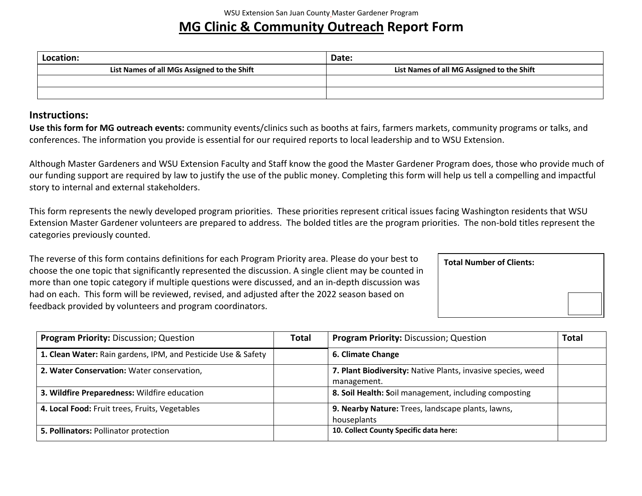## **MG Clinic & Community Outreach Report Form**

| Location:                                   | Date:                                      |  |
|---------------------------------------------|--------------------------------------------|--|
| List Names of all MGs Assigned to the Shift | List Names of all MG Assigned to the Shift |  |
|                                             |                                            |  |
|                                             |                                            |  |

## **Instructions:**

**Use this form for MG outreach events:** community events/clinics such as booths at fairs, farmers markets, community programs or talks, and conferences. The information you provide is essential for our required reports to local leadership and to WSU Extension.

Although Master Gardeners and WSU Extension Faculty and Staff know the good the Master Gardener Program does, those who provide much of our funding support are required by law to justify the use of the public money. Completing this form will help us tell a compelling and impactful story to internal and external stakeholders.

This form represents the newly developed program priorities. These priorities represent critical issues facing Washington residents that WSU Extension Master Gardener volunteers are prepared to address. The bolded titles are the program priorities. The non-bold titles represent the categories previously counted.

The reverse of this form contains definitions for each Program Priority area. Please do your best to choose the one topic that significantly represented the discussion. A single client may be counted in more than one topic category if multiple questions were discussed, and an in-depth discussion was had on each. This form will be reviewed, revised, and adjusted after the 2022 season based on feedback provided by volunteers and program coordinators.

| <b>Total Number of Clients:</b> |  |
|---------------------------------|--|
|                                 |  |
|                                 |  |

| <b>Program Priority: Discussion; Question</b>                 | <b>Total</b>                                                     | <b>Program Priority: Discussion; Question</b>                               | <b>Total</b> |
|---------------------------------------------------------------|------------------------------------------------------------------|-----------------------------------------------------------------------------|--------------|
| 1. Clean Water: Rain gardens, IPM, and Pesticide Use & Safety |                                                                  | 6. Climate Change                                                           |              |
| 2. Water Conservation: Water conservation,                    |                                                                  | 7. Plant Biodiversity: Native Plants, invasive species, weed<br>management. |              |
| 3. Wildfire Preparedness: Wildfire education                  |                                                                  | 8. Soil Health: Soil management, including composting                       |              |
| 4. Local Food: Fruit trees, Fruits, Vegetables                | 9. Nearby Nature: Trees, landscape plants, lawns,<br>houseplants |                                                                             |              |
| 5. Pollinators: Pollinator protection                         |                                                                  | 10. Collect County Specific data here:                                      |              |